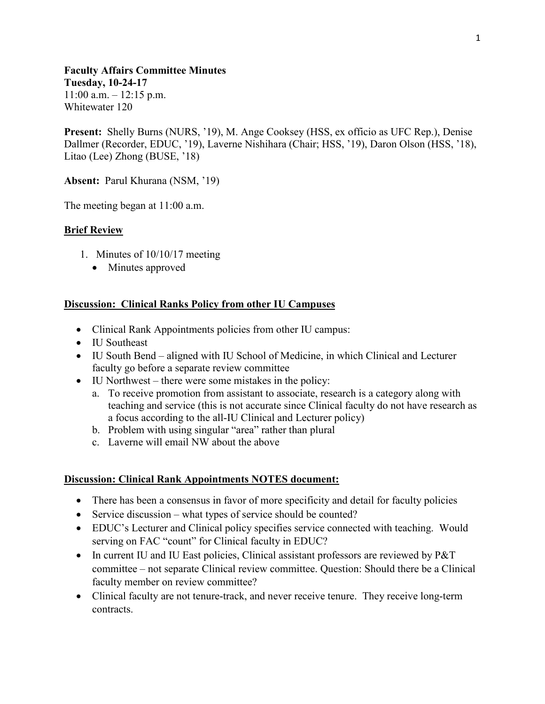**Faculty Affairs Committee Minutes Tuesday, 10-24-17**  $11:00$  a.m.  $-12:15$  p.m. Whitewater 120

**Present:** Shelly Burns (NURS, '19), M. Ange Cooksey (HSS, ex officio as UFC Rep.), Denise Dallmer (Recorder, EDUC, '19), Laverne Nishihara (Chair; HSS, '19), Daron Olson (HSS, '18), Litao (Lee) Zhong (BUSE, '18)

**Absent:** Parul Khurana (NSM, '19)

The meeting began at 11:00 a.m.

# **Brief Review**

- 1. Minutes of 10/10/17 meeting
	- Minutes approved

### **Discussion: Clinical Ranks Policy from other IU Campuses**

- Clinical Rank Appointments policies from other IU campus:
- IU Southeast
- IU South Bend aligned with IU School of Medicine, in which Clinical and Lecturer faculty go before a separate review committee
- IU Northwest there were some mistakes in the policy:
	- a. To receive promotion from assistant to associate, research is a category along with teaching and service (this is not accurate since Clinical faculty do not have research as a focus according to the all-IU Clinical and Lecturer policy)
	- b. Problem with using singular "area" rather than plural
	- c. Laverne will email NW about the above

#### **Discussion: Clinical Rank Appointments NOTES document:**

- There has been a consensus in favor of more specificity and detail for faculty policies
- Service discussion what types of service should be counted?
- EDUC's Lecturer and Clinical policy specifies service connected with teaching. Would serving on FAC "count" for Clinical faculty in EDUC?
- In current IU and IU East policies, Clinical assistant professors are reviewed by P&T committee – not separate Clinical review committee. Question: Should there be a Clinical faculty member on review committee?
- Clinical faculty are not tenure-track, and never receive tenure. They receive long-term contracts.